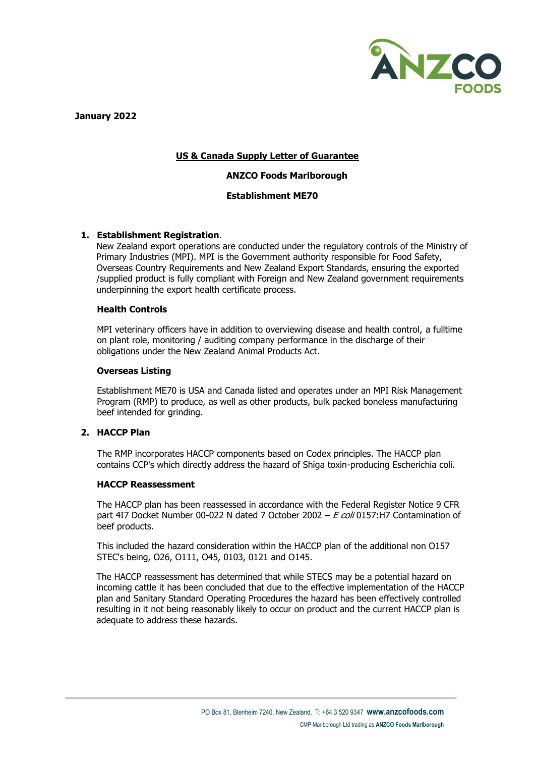

 **January 2022**

# **US & Canada Supply Letter of Guarantee**

# **ANZCO Foods Marlborough**

## **Establishment ME70**

## **1. Establishment Registration**.

New Zealand export operations are conducted under the regulatory controls of the Ministry of Primary Industries (MPI). MPI is the Government authority responsible for Food Safety, Overseas Country Requirements and New Zealand Export Standards, ensuring the exported /supplied product is fully compliant with Foreign and New Zealand government requirements underpinning the export health certificate process.

## **Health Controls**

MPI veterinary officers have in addition to overviewing disease and health control, a fulltime on plant role, monitoring / auditing company performance in the discharge of their obligations under the New Zealand Animal Products Act.

## **Overseas Listing**

Establishment ME70 is USA and Canada listed and operates under an MPI Risk Management Program (RMP) to produce, as well as other products, bulk packed boneless manufacturing beef intended for grinding.

# **2. HACCP Plan**

The RMP incorporates HACCP components based on Codex principles. The HACCP plan contains CCP's which directly address the hazard of Shiga toxin-producing Escherichia coli.

#### **HACCP Reassessment**

The HACCP plan has been reassessed in accordance with the Federal Register Notice 9 CFR part 4I7 Docket Number 00-022 N dated 7 October 2002 –  $E \,$ coli 0157:H7 Contamination of beef products.

This included the hazard consideration within the HACCP plan of the additional non O157 STEC's being, O26, O111, O45, 0103, 0121 and O145.

The HACCP reassessment has determined that while STECS may be a potential hazard on incoming cattle it has been concluded that due to the effective implementation of the HACCP plan and Sanitary Standard Operating Procedures the hazard has been effectively controlled resulting in it not being reasonably likely to occur on product and the current HACCP plan is adequate to address these hazards.

**ANZCO Foods**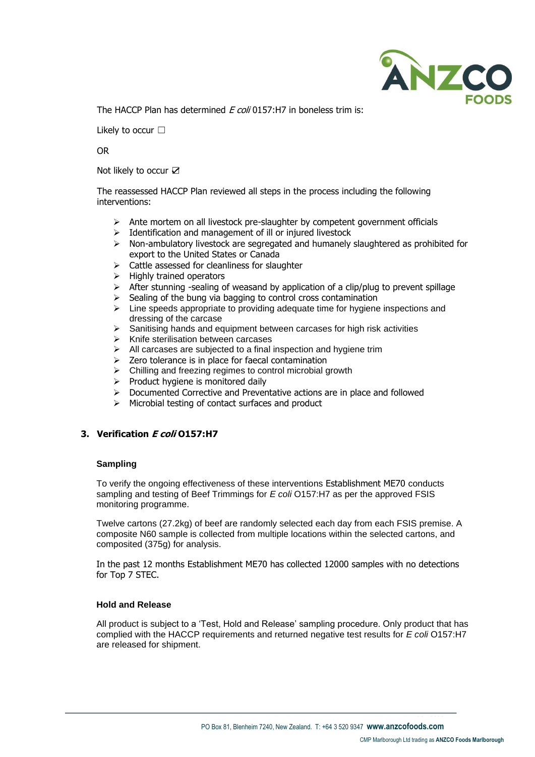

The HACCP Plan has determined *E coli* 0157:H7 in boneless trim is:

Likely to occur □

OR

Not likely to occur Ø

The reassessed HACCP Plan reviewed all steps in the process including the following interventions:

- ➢ Ante mortem on all livestock pre-slaughter by competent government officials
- ➢ Identification and management of ill or injured livestock
- ➢ Non-ambulatory livestock are segregated and humanely slaughtered as prohibited for export to the United States or Canada
- ➢ Cattle assessed for cleanliness for slaughter
- ➢ Highly trained operators
- $\triangleright$  After stunning -sealing of weasand by application of a clip/plug to prevent spillage
- Sealing of the bung via bagging to control cross contamination
- ➢ Line speeds appropriate to providing adequate time for hygiene inspections and dressing of the carcase
- $\triangleright$  Sanitising hands and equipment between carcases for high risk activities  $\triangleright$  Knife sterilisation between carcases
- ➢ Knife sterilisation between carcases
- $\triangleright$  All carcases are subjected to a final inspection and hygiene trim
- $\geq$  Zero tolerance is in place for faecal contamination
- $\triangleright$  Chilling and freezing regimes to control microbial growth
- ➢ Product hygiene is monitored daily
- ➢ Documented Corrective and Preventative actions are in place and followed
- ➢ Microbial testing of contact surfaces and product

# **3. Verification E coli O157:H7**

# **Sampling**

To verify the ongoing effectiveness of these interventions Establishment ME70 conducts sampling and testing of Beef Trimmings for *E coli* O157:H7 as per the approved FSIS monitoring programme.

Twelve cartons (27.2kg) of beef are randomly selected each day from each FSIS premise. A composite N60 sample is collected from multiple locations within the selected cartons, and composited (375g) for analysis.

In the past 12 months Establishment ME70 has collected 12000 samples with no detections for Top 7 STEC.

## **Hold and Release**

All product is subject to a 'Test, Hold and Release' sampling procedure. Only product that has complied with the HACCP requirements and returned negative test results for *E coli* O157:H7 are released for shipment.

**ANZCO Foods**